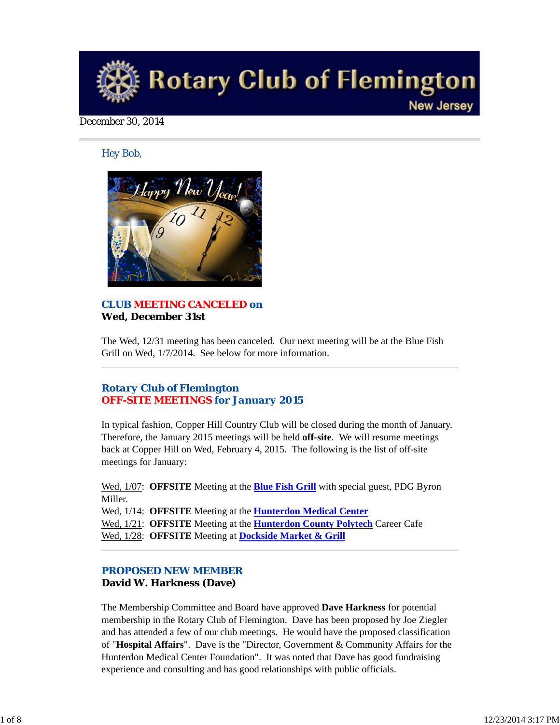

#### December 30, 2014

#### *Hey Bob,*



### *CLUB MEETING CANCELED on* **Wed, December 31st**

The Wed, 12/31 meeting has been canceled. Our next meeting will be at the Blue Fish Grill on Wed, 1/7/2014. See below for more information.

# *Rotary Club of Flemington OFF-SITE MEETINGS for January 2015*

In typical fashion, Copper Hill Country Club will be closed during the month of January. Therefore, the January 2015 meetings will be held **off-site**. We will resume meetings back at Copper Hill on Wed, February 4, 2015. The following is the list of off-site meetings for January:

Wed, 1/07: **OFFSITE** Meeting at the **Blue Fish Grill** with special guest, PDG Byron Miller.

Wed, 1/14: **OFFSITE** Meeting at the **Hunterdon Medical Center** Wed, 1/21: **OFFSITE** Meeting at the **Hunterdon County Polytech** Career Cafe Wed, 1/28: **OFFSITE** Meeting at **Dockside Market & Grill**

# *PROPOSED NEW MEMBER* **David W. Harkness (Dave)**

The Membership Committee and Board have approved **Dave Harkness** for potential membership in the Rotary Club of Flemington. Dave has been proposed by Joe Ziegler and has attended a few of our club meetings. He would have the proposed classification of "**Hospital Affairs**". Dave is the "Director, Government & Community Affairs for the Hunterdon Medical Center Foundation". It was noted that Dave has good fundraising experience and consulting and has good relationships with public officials.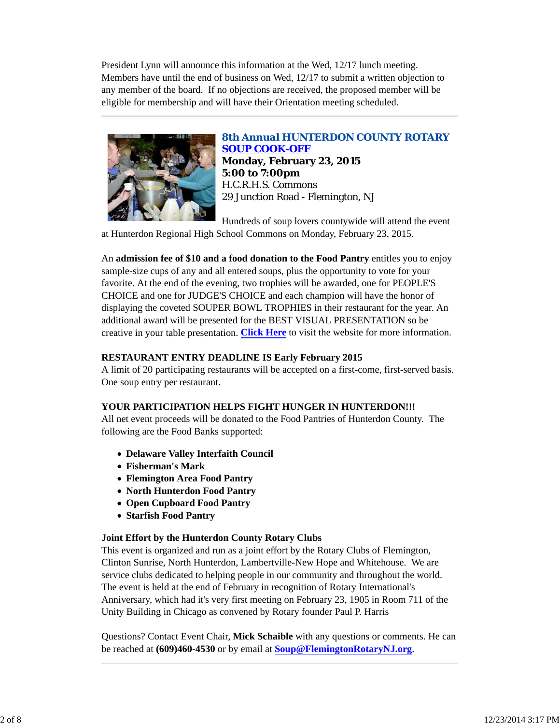President Lynn will announce this information at the Wed, 12/17 lunch meeting. Members have until the end of business on Wed, 12/17 to submit a written objection to any member of the board. If no objections are received, the proposed member will be eligible for membership and will have their Orientation meeting scheduled.



# *8th Annual HUNTERDON COUNTY ROTARY SOUP COOK-OFF*

**Monday, February 23, 2015 5:00 to 7:00pm** H.C.R.H.S. Commons 29 Junction Road - Flemington, NJ

Hundreds of soup lovers countywide will attend the event

at Hunterdon Regional High School Commons on Monday, February 23, 2015.

An **admission fee of \$10 and a food donation to the Food Pantry** entitles you to enjoy sample-size cups of any and all entered soups, plus the opportunity to vote for your favorite. At the end of the evening, two trophies will be awarded, one for PEOPLE'S CHOICE and one for JUDGE'S CHOICE and each champion will have the honor of displaying the coveted SOUPER BOWL TROPHIES in their restaurant for the year. An additional award will be presented for the BEST VISUAL PRESENTATION so be creative in your table presentation. **Click Here** to visit the website for more information.

# **RESTAURANT ENTRY DEADLINE IS Early February 2015**

A limit of 20 participating restaurants will be accepted on a first-come, first-served basis. One soup entry per restaurant.

### **YOUR PARTICIPATION HELPS FIGHT HUNGER IN HUNTERDON!!!**

All net event proceeds will be donated to the Food Pantries of Hunterdon County. The following are the Food Banks supported:

- **Delaware Valley Interfaith Council**
- **Fisherman's Mark**
- **Flemington Area Food Pantry**
- **North Hunterdon Food Pantry**
- **Open Cupboard Food Pantry**
- **Starfish Food Pantry**

### **Joint Effort by the Hunterdon County Rotary Clubs**

This event is organized and run as a joint effort by the Rotary Clubs of Flemington, Clinton Sunrise, North Hunterdon, Lambertville-New Hope and Whitehouse. We are service clubs dedicated to helping people in our community and throughout the world. The event is held at the end of February in recognition of Rotary International's Anniversary, which had it's very first meeting on February 23, 1905 in Room 711 of the Unity Building in Chicago as convened by Rotary founder Paul P. Harris

Questions? Contact Event Chair, **Mick Schaible** with any questions or comments. He can be reached at **(609)460-4530** or by email at **Soup@FlemingtonRotaryNJ.org**.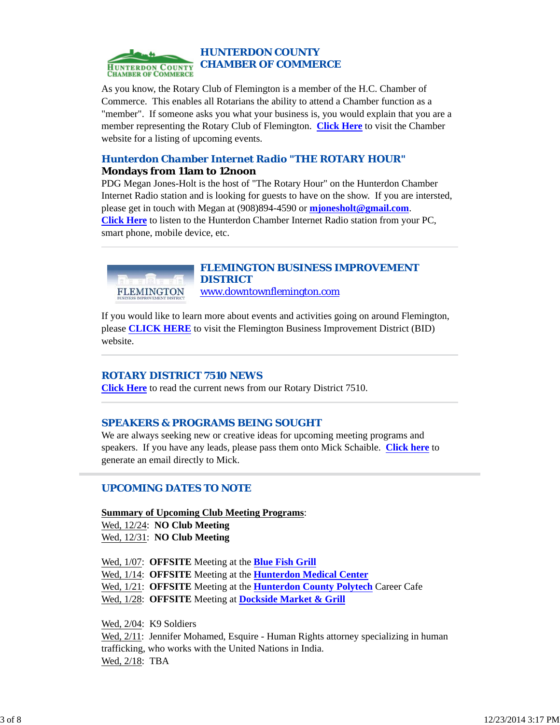

As you know, the Rotary Club of Flemington is a member of the H.C. Chamber of Commerce. This enables all Rotarians the ability to attend a Chamber function as a "member". If someone asks you what your business is, you would explain that you are a member representing the Rotary Club of Flemington. **Click Here** to visit the Chamber website for a listing of upcoming events.

# *Hunterdon Chamber Internet Radio "THE ROTARY HOUR"* **Mondays from 11am to 12noon**

PDG Megan Jones-Holt is the host of "The Rotary Hour" on the Hunterdon Chamber Internet Radio station and is looking for guests to have on the show. If you are intersted, please get in touch with Megan at (908)894-4590 or **mjonesholt@gmail.com**. **Click Here** to listen to the Hunterdon Chamber Internet Radio station from your PC, smart phone, mobile device, etc.



# *FLEMINGTON BUSINESS IMPROVEMENT DISTRICT*

www.downtownflemington.com

If you would like to learn more about events and activities going on around Flemington, please **CLICK HERE** to visit the Flemington Business Improvement District (BID) website.

# *ROTARY DISTRICT 7510 NEWS*

**Click Here** to read the current news from our Rotary District 7510.

# *SPEAKERS & PROGRAMS BEING SOUGHT*

We are always seeking new or creative ideas for upcoming meeting programs and speakers. If you have any leads, please pass them onto Mick Schaible. **Click here** to generate an email directly to Mick.

# *UPCOMING DATES TO NOTE*

**Summary of Upcoming Club Meeting Programs**: Wed, 12/24: **NO Club Meeting** Wed, 12/31: **NO Club Meeting**

Wed, 1/07: **OFFSITE** Meeting at the **Blue Fish Grill**

Wed, 1/14: **OFFSITE** Meeting at the **Hunterdon Medical Center**

Wed, 1/21: **OFFSITE** Meeting at the **Hunterdon County Polytech** Career Cafe

Wed, 1/28: **OFFSITE** Meeting at **Dockside Market & Grill**

Wed, 2/04: K9 Soldiers

Wed, 2/11: Jennifer Mohamed, Esquire - Human Rights attorney specializing in human trafficking, who works with the United Nations in India. Wed, 2/18: TBA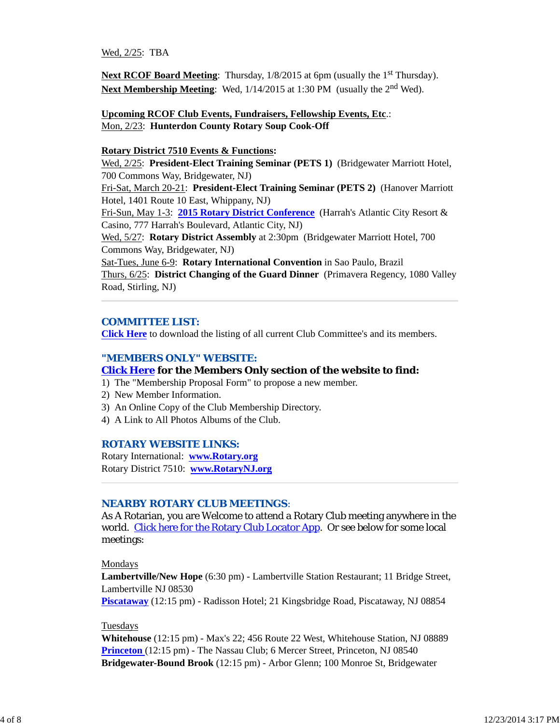Wed, 2/25: TBA

**Next RCOF Board Meeting:** Thursday,  $1/8/2015$  at 6pm (usually the 1<sup>st</sup> Thursday). Next Membership Meeting: Wed,  $1/14/2015$  at 1:30 PM (usually the 2<sup>nd</sup> Wed).

**Upcoming RCOF Club Events, Fundraisers, Fellowship Events, Etc**.: Mon, 2/23: **Hunterdon County Rotary Soup Cook-Off**

#### **Rotary District 7510 Events & Functions:**

Wed, 2/25: **President-Elect Training Seminar (PETS 1)** (Bridgewater Marriott Hotel, 700 Commons Way, Bridgewater, NJ)

Fri-Sat, March 20-21: **President-Elect Training Seminar (PETS 2)** (Hanover Marriott Hotel, 1401 Route 10 East, Whippany, NJ)

Fri-Sun, May 1-3: **2015 Rotary District Conference** (Harrah's Atlantic City Resort & Casino, 777 Harrah's Boulevard, Atlantic City, NJ)

Wed, 5/27: **Rotary District Assembly** at 2:30pm (Bridgewater Marriott Hotel, 700 Commons Way, Bridgewater, NJ)

Sat-Tues, June 6-9: **Rotary International Convention** in Sao Paulo, Brazil Thurs, 6/25: **District Changing of the Guard Dinner** (Primavera Regency, 1080 Valley Road, Stirling, NJ)

#### *COMMITTEE LIST:*

**Click Here** to download the listing of all current Club Committee's and its members.

#### *"MEMBERS ONLY" WEBSITE:*

#### **Click Here for the Members Only section of the website to find:**

- 1) The "Membership Proposal Form" to propose a new member.
- 2) New Member Information.
- 3) An Online Copy of the Club Membership Directory.
- 4) A Link to All Photos Albums of the Club.

#### *ROTARY WEBSITE LINKS:*

Rotary International: **www.Rotary.org** Rotary District 7510: **www.RotaryNJ.org**

#### *NEARBY ROTARY CLUB MEETINGS:*

As A Rotarian, you are Welcome to attend a Rotary Club meeting anywhere in the world. Click here for the Rotary Club Locator App. Or see below for some local meetings:

#### Mondays

**Lambertville/New Hope** (6:30 pm) - Lambertville Station Restaurant; 11 Bridge Street, Lambertville NJ 08530

**Piscataway** (12:15 pm) - Radisson Hotel; 21 Kingsbridge Road, Piscataway, NJ 08854

#### Tuesdays

**Whitehouse** (12:15 pm) - Max's 22; 456 Route 22 West, Whitehouse Station, NJ 08889 **Princeton** (12:15 pm) - The Nassau Club; 6 Mercer Street, Princeton, NJ 08540 **Bridgewater-Bound Brook** (12:15 pm) - Arbor Glenn; 100 Monroe St, Bridgewater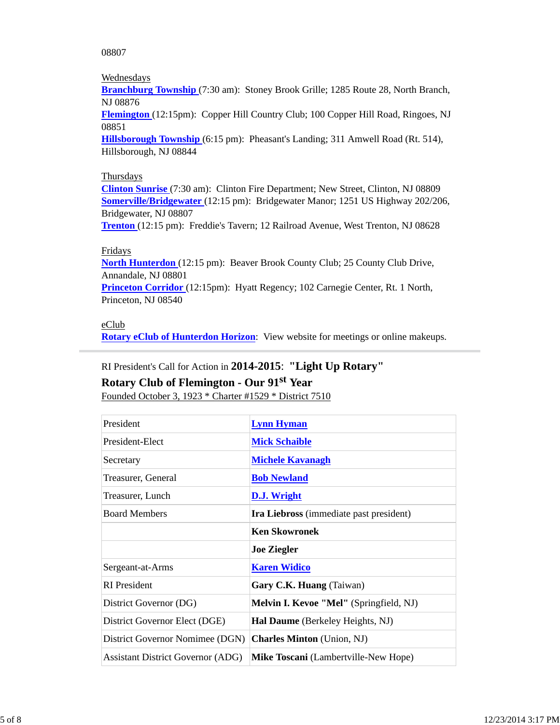08807

### Wednesdays

**Branchburg Township** (7:30 am): Stoney Brook Grille; 1285 Route 28, North Branch, NJ 08876

**Flemington** (12:15pm): Copper Hill Country Club; 100 Copper Hill Road, Ringoes, NJ 08851

**Hillsborough Township** (6:15 pm): Pheasant's Landing; 311 Amwell Road (Rt. 514), Hillsborough, NJ 08844

### **Thursdays**

**Clinton Sunrise** (7:30 am): Clinton Fire Department; New Street, Clinton, NJ 08809 **Somerville/Bridgewater** (12:15 pm): Bridgewater Manor; 1251 US Highway 202/206, Bridgewater, NJ 08807

**Trenton** (12:15 pm): Freddie's Tavern; 12 Railroad Avenue, West Trenton, NJ 08628

### Fridays

**North Hunterdon** (12:15 pm): Beaver Brook County Club; 25 County Club Drive, Annandale, NJ 08801

**Princeton Corridor** (12:15pm): Hyatt Regency; 102 Carnegie Center, Rt. 1 North, Princeton, NJ 08540

#### eClub

**Rotary eClub of Hunterdon Horizon**: View website for meetings or online makeups.

# RI President's Call for Action in **2014-2015**: **"Light Up Rotary"**

# **Rotary Club of Flemington - Our 91st Year**

Founded October 3, 1923 \* Charter #1529 \* District 7510

| President                                | <b>Lynn Hyman</b>                       |  |
|------------------------------------------|-----------------------------------------|--|
| President-Elect                          | <b>Mick Schaible</b>                    |  |
| Secretary                                | <b>Michele Kavanagh</b>                 |  |
| Treasurer, General                       | <b>Bob Newland</b>                      |  |
| Treasurer, Lunch                         | <b>D.J.</b> Wright                      |  |
| <b>Board Members</b>                     | Ira Liebross (immediate past president) |  |
|                                          | <b>Ken Skowronek</b>                    |  |
|                                          | <b>Joe Ziegler</b>                      |  |
| Sergeant-at-Arms                         | <b>Karen Widico</b>                     |  |
| <b>RI</b> President                      | Gary C.K. Huang (Taiwan)                |  |
| District Governor (DG)                   | Melvin I. Kevoe "Mel" (Springfield, NJ) |  |
| District Governor Elect (DGE)            | Hal Daume (Berkeley Heights, NJ)        |  |
| District Governor Nomimee (DGN)          | <b>Charles Minton</b> (Union, NJ)       |  |
| <b>Assistant District Governor (ADG)</b> | Mike Toscani (Lambertville-New Hope)    |  |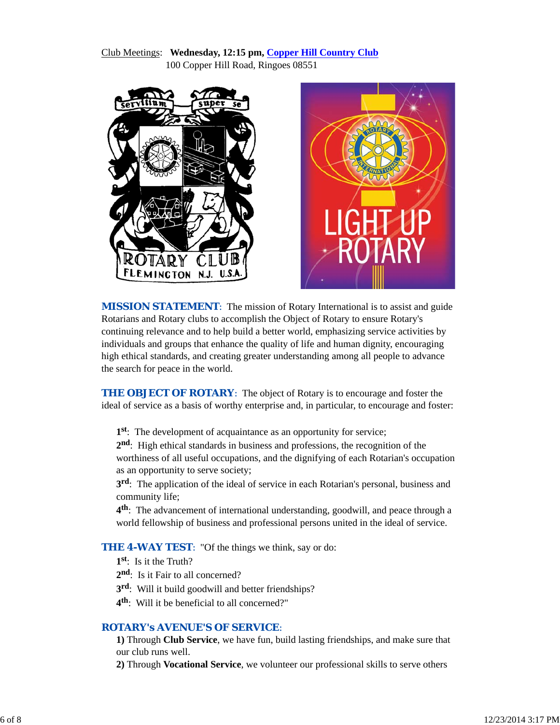### Club Meetings: **Wednesday, 12:15 pm, Copper Hill Country Club** 100 Copper Hill Road, Ringoes 08551





**MISSION STATEMENT:** The mission of Rotary International is to assist and guide Rotarians and Rotary clubs to accomplish the Object of Rotary to ensure Rotary's continuing relevance and to help build a better world, emphasizing service activities by individuals and groups that enhance the quality of life and human dignity, encouraging high ethical standards, and creating greater understanding among all people to advance the search for peace in the world.

**THE OBJECT OF ROTARY:** The object of Rotary is to encourage and foster the ideal of service as a basis of worthy enterprise and, in particular, to encourage and foster:

**1st**: The development of acquaintance as an opportunity for service;

**2nd**: High ethical standards in business and professions, the recognition of the worthiness of all useful occupations, and the dignifying of each Rotarian's occupation as an opportunity to serve society;

**3rd**: The application of the ideal of service in each Rotarian's personal, business and community life;

**4th**: The advancement of international understanding, goodwill, and peace through a world fellowship of business and professional persons united in the ideal of service.

**THE 4-WAY TEST:** "Of the things we think, say or do:

- **1st**: Is it the Truth?
- 2<sup>nd</sup>: Is it Fair to all concerned?
- **3rd**: Will it build goodwill and better friendships?
- **4th**: Will it be beneficial to all concerned?"

#### *ROTARY's AVENUE'S OF SERVICE*:

**1)** Through **Club Service**, we have fun, build lasting friendships, and make sure that our club runs well.

**2)** Through **Vocational Service**, we volunteer our professional skills to serve others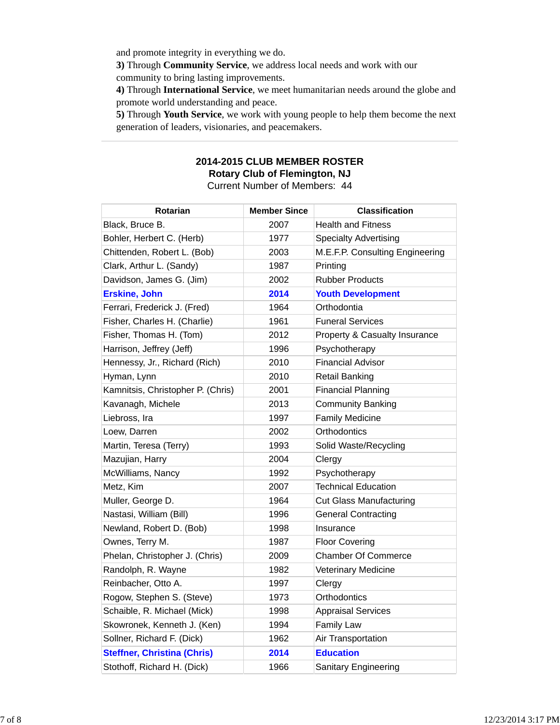and promote integrity in everything we do.

**3)** Through **Community Service**, we address local needs and work with our community to bring lasting improvements.

**4)** Through **International Service**, we meet humanitarian needs around the globe and promote world understanding and peace.

**5)** Through **Youth Service**, we work with young people to help them become the next generation of leaders, visionaries, and peacemakers.

### **2014-2015 CLUB MEMBER ROSTER Rotary Club of Flemington, NJ** Current Number of Members: 44

| Rotarian                           | <b>Member Since</b> | <b>Classification</b>           |
|------------------------------------|---------------------|---------------------------------|
| Black, Bruce B.                    | 2007                | <b>Health and Fitness</b>       |
| Bohler, Herbert C. (Herb)          | 1977                | <b>Specialty Advertising</b>    |
| Chittenden, Robert L. (Bob)        | 2003                | M.E.F.P. Consulting Engineering |
| Clark, Arthur L. (Sandy)           | 1987                | Printing                        |
| Davidson, James G. (Jim)           | 2002                | <b>Rubber Products</b>          |
| <b>Erskine, John</b>               | 2014                | <b>Youth Development</b>        |
| Ferrari, Frederick J. (Fred)       | 1964                | Orthodontia                     |
| Fisher, Charles H. (Charlie)       | 1961                | <b>Funeral Services</b>         |
| Fisher, Thomas H. (Tom)            | 2012                | Property & Casualty Insurance   |
| Harrison, Jeffrey (Jeff)           | 1996                | Psychotherapy                   |
| Hennessy, Jr., Richard (Rich)      | 2010                | <b>Financial Advisor</b>        |
| Hyman, Lynn                        | 2010                | <b>Retail Banking</b>           |
| Kamnitsis, Christopher P. (Chris)  | 2001                | <b>Financial Planning</b>       |
| Kavanagh, Michele                  | 2013                | <b>Community Banking</b>        |
| Liebross, Ira                      | 1997                | <b>Family Medicine</b>          |
| Loew, Darren                       | 2002                | Orthodontics                    |
| Martin, Teresa (Terry)             | 1993                | Solid Waste/Recycling           |
| Mazujian, Harry                    | 2004                | Clergy                          |
| McWilliams, Nancy                  | 1992                | Psychotherapy                   |
| Metz, Kim                          | 2007                | <b>Technical Education</b>      |
| Muller, George D.                  | 1964                | <b>Cut Glass Manufacturing</b>  |
| Nastasi, William (Bill)            | 1996                | <b>General Contracting</b>      |
| Newland, Robert D. (Bob)           | 1998                | Insurance                       |
| Ownes, Terry M.                    | 1987                | <b>Floor Covering</b>           |
| Phelan, Christopher J. (Chris)     | 2009                | <b>Chamber Of Commerce</b>      |
| Randolph, R. Wayne                 | 1982                | <b>Veterinary Medicine</b>      |
| Reinbacher, Otto A.                | 1997                | Clergy                          |
| Rogow, Stephen S. (Steve)          | 1973                | Orthodontics                    |
| Schaible, R. Michael (Mick)        | 1998                | <b>Appraisal Services</b>       |
| Skowronek, Kenneth J. (Ken)        | 1994                | <b>Family Law</b>               |
| Sollner, Richard F. (Dick)         | 1962                | Air Transportation              |
| <b>Steffner, Christina (Chris)</b> | 2014                | <b>Education</b>                |
| Stothoff, Richard H. (Dick)        | 1966                | <b>Sanitary Engineering</b>     |